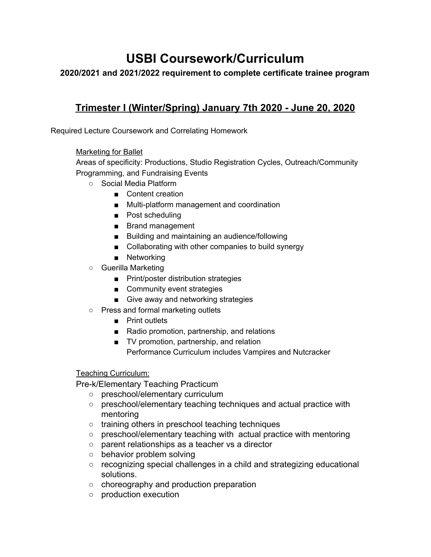# **USBI Coursework/Curriculum**

#### **2020/2021 and 2021/2022 requirement to complete certificate trainee program**

## **Trimester I (Winter/Spring) January 7th 2020 - June 20, 2020**

Required Lecture Coursework and Correlating Homework

#### Marketing for Ballet

Areas of specificity: Productions, Studio Registration Cycles, Outreach/Community Programming, and Fundraising Events

- Social Media Platform
	- Content creation
	- Multi-platform management and coordination
	- Post scheduling
	- Brand management
	- Building and maintaining an audience/following
	- Collaborating with other companies to build synergy
	- Networking
- Guerilla Marketing
	- Print/poster distribution strategies
	- Community event strategies
	- Give away and networking strategies
- Press and formal marketing outlets
	- Print outlets
	- Radio promotion, partnership, and relations
	- TV promotion, partnership, and relation Performance Curriculum includes Vampires and Nutcracker

#### Teaching Curriculum:

Pre-k/Elementary Teaching Practicum

- preschool/elementary curriculum
- preschool/elementary teaching techniques and actual practice with mentoring
- training others in preschool teaching techniques
- preschool/elementary teaching with actual practice with mentoring
- parent relationships as a teacher vs a director
- behavior problem solving
- recognizing special challenges in a child and strategizing educational solutions.
- choreography and production preparation
- production execution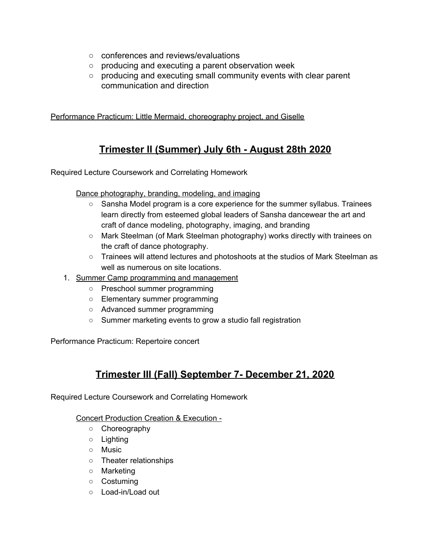- conferences and reviews/evaluations
- producing and executing a parent observation week
- producing and executing small community events with clear parent communication and direction

Performance Practicum: Little Mermaid, choreography project, and Giselle

## **Trimester II (Summer) July 6th - August 28th 2020**

Required Lecture Coursework and Correlating Homework

#### Dance photography, branding, modeling, and imaging

- Sansha Model program is a core experience for the summer syllabus. Trainees learn directly from esteemed global leaders of Sansha dancewear the art and craft of dance modeling, photography, imaging, and branding
- Mark Steelman (of Mark Steelman photography) works directly with trainees on the craft of dance photography.
- Trainees will attend lectures and photoshoots at the studios of Mark Steelman as well as numerous on site locations.
- 1. Summer Camp programming and management
	- Preschool summer programming
	- Elementary summer programming
	- Advanced summer programming
	- Summer marketing events to grow a studio fall registration

Performance Practicum: Repertoire concert

## **Trimester III (Fall) September 7- December 21, 2020**

Required Lecture Coursework and Correlating Homework

#### Concert Production Creation & Execution -

- Choreography
- Lighting
- Music
- Theater relationships
- Marketing
- Costuming
- Load-in/Load out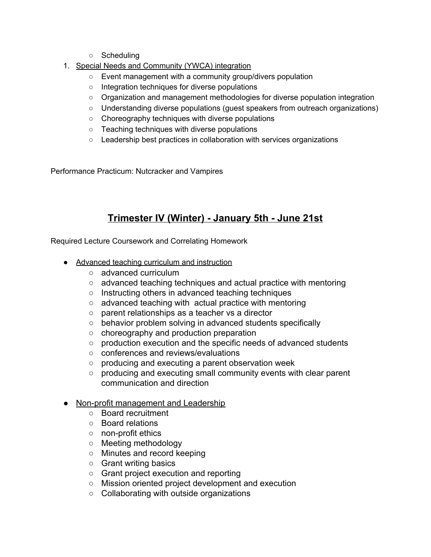- Scheduling
- 1. Special Needs and Community (YWCA) integration
	- Event management with a community group/divers population
	- Integration techniques for diverse populations
	- Organization and management methodologies for diverse population integration
	- Understanding diverse populations (guest speakers from outreach organizations)
	- Choreography techniques with diverse populations
	- Teaching techniques with diverse populations
	- Leadership best practices in collaboration with services organizations

Performance Practicum: Nutcracker and Vampires

# **Trimester IV (Winter) - January 5th - June 21st**

Required Lecture Coursework and Correlating Homework

- Advanced teaching curriculum and instruction
	- advanced curriculum
	- advanced teaching techniques and actual practice with mentoring
	- Instructing others in advanced teaching techniques
	- advanced teaching with actual practice with mentoring
	- parent relationships as a teacher vs a director
	- behavior problem solving in advanced students specifically
	- choreography and production preparation
	- production execution and the specific needs of advanced students
	- conferences and reviews/evaluations
	- producing and executing a parent observation week
	- producing and executing small community events with clear parent communication and direction

#### • Non-profit management and Leadership

- Board recruitment
- Board relations
- non-profit ethics
- Meeting methodology
- Minutes and record keeping
- Grant writing basics
- Grant project execution and reporting
- Mission oriented project development and execution
- Collaborating with outside organizations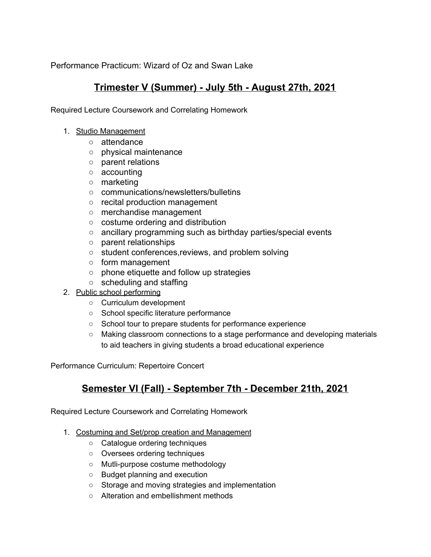Performance Practicum: Wizard of Oz and Swan Lake

## **Trimester V (Summer) - July 5th - August 27th, 2021**

Required Lecture Coursework and Correlating Homework

- 1. Studio Management
	- attendance
	- physical maintenance
	- parent relations
	- accounting
	- marketing
	- communications/newsletters/bulletins
	- recital production management
	- merchandise management
	- costume ordering and distribution
	- ancillary programming such as birthday parties/special events
	- parent relationships
	- student conferences,reviews, and problem solving
	- form management
	- phone etiquette and follow up strategies
	- scheduling and staffing
- 2. Public school performing
	- Curriculum development
	- School specific literature performance
	- School tour to prepare students for performance experience
	- Making classroom connections to a stage performance and developing materials to aid teachers in giving students a broad educational experience

Performance Curriculum: Repertoire Concert

### **Semester VI (Fall) - September 7th - December 21th, 2021**

Required Lecture Coursework and Correlating Homework

- 1. Costuming and Set/prop creation and Management
	- Catalogue ordering techniques
	- Oversees ordering techniques
	- Mutli-purpose costume methodology
	- Budget planning and execution
	- Storage and moving strategies and implementation
	- Alteration and embellishment methods